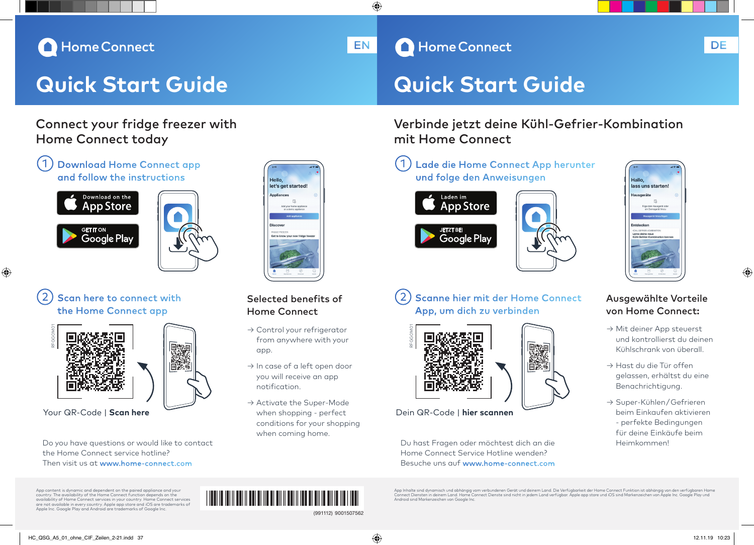## Home Connect

# **Quick Start Guide Quick Start Guide**

## Connect your fridge freezer with Home Connect today

## Download Home Connect app and follow the instructions



◈



## Scan here to connect with the Home Connect app



Do you have questions or would like to contact the Home Connect service hotline? Then visit us at www.home-connect.com

Hello let's net started

## Selected benefits of Home Connect

- → Control your refrigerator from anywhere with your app.
- → In case of a left open door you will receive an app notification.
- → Activate the Super-Mode when shopping - perfect conditions for your shopping when coming home. Your QR-Code | **Scan here**  $\overline{\phantom{a}}$  **Scannen** when shopping - perfect **Dein QR-Code | hier scannen**

# Scanne hier mit der Home Connect

App, um dich zu verbinden



mit Home Connect

Laden im **App Store** 

**JETZT BE** 

Google Play

€

Du hast Fragen oder möchtest dich an die Home Connect Service Hotline wenden? Besuche uns auf www.home-connect.com

## Lade die Home Connect App herunter und folge den Anweisungen Hallo. lass uns starten!

Verbinde jetzt deine Kühl-Gefrier-Kombination

 $\overline{\phantom{a}}$  and  $\overline{\phantom{a}}$  and  $\overline{\phantom{a}}$  and  $\overline{\phantom{a}}$  as pt transmitting transmitting transmitting transmitting transmitting transmitting transmitting transmitting transmitting transmitting transmitting transmitting



### Ausgewählte Vorteile von Home Connect:

- → Mit deiner App steuerst und kontrollierst du deinen Kühlschrank von überall.
- → Hast du die Tür offen gelassen, erhältst du eine Benachrichtigung.
- → Super-Kühlen / Gefrieren beim Einkaufen aktivieren - perfekte Bedingungen für deine Einkäufe beim Heimkommen!

App content is dynamic and dependent on the paired appliance and your country. The availability of the Home Connect function depends on the availability of Home Connect services in your country. Home Connect services are not available in every country. Apple app store and iOS are trademarks of Apple Inc. Google Play and Android are trademarks of Google Inc.



App Inhalte sind dynamisch und abhängig vom verbundenen Gerät und deinem Land. Die Verfügbarkeit der Home Connect Funktion ist abhängig von den verfügbaren Home<br>Connect Diensten in deinem Land. Home Connect Dienste sind ni